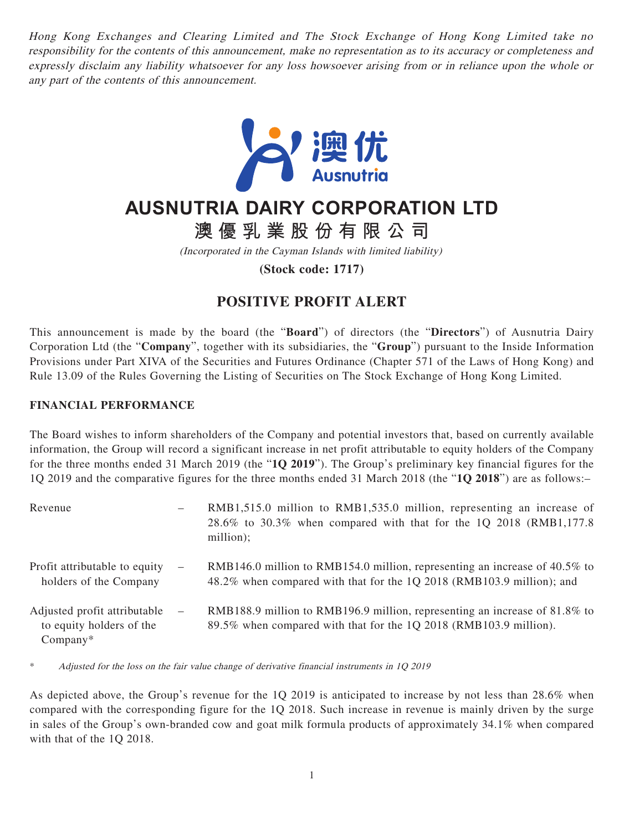Hong Kong Exchanges and Clearing Limited and The Stock Exchange of Hong Kong Limited take no responsibility for the contents of this announcement, make no representation as to its accuracy or completeness and expressly disclaim any liability whatsoever for any loss howsoever arising from or in reliance upon the whole or any part of the contents of this announcement.



## **AUSNUTRIA DAIRY CORPORATION LTD**

**澳優乳業股份有限公司**

(Incorporated in the Cayman Islands with limited liability)

**(Stock code: 1717)**

## **POSITIVE PROFIT ALERT**

This announcement is made by the board (the "**Board**") of directors (the "**Directors**") of Ausnutria Dairy Corporation Ltd (the "**Company**", together with its subsidiaries, the "**Group**") pursuant to the Inside Information Provisions under Part XIVA of the Securities and Futures Ordinance (Chapter 571 of the Laws of Hong Kong) and Rule 13.09 of the Rules Governing the Listing of Securities on The Stock Exchange of Hong Kong Limited.

## **FINANCIAL PERFORMANCE**

The Board wishes to inform shareholders of the Company and potential investors that, based on currently available information, the Group will record a significant increase in net profit attributable to equity holders of the Company for the three months ended 31 March 2019 (the "**1Q 2019**"). The Group's preliminary key financial figures for the 1Q 2019 and the comparative figures for the three months ended 31 March 2018 (the "**1Q 2018**") are as follows:–

| Revenue                                                                |                          | RMB1,515.0 million to RMB1,535.0 million, representing an increase of<br>28.6% to 30.3% when compared with that for the 1Q 2018 (RMB1,177.8)<br>million); |
|------------------------------------------------------------------------|--------------------------|-----------------------------------------------------------------------------------------------------------------------------------------------------------|
| Profit attributable to equity<br>holders of the Company                | $\overline{\phantom{m}}$ | RMB146.0 million to RMB154.0 million, representing an increase of $40.5\%$ to<br>48.2% when compared with that for the 1Q 2018 (RMB103.9 million); and    |
| Adjusted profit attributable<br>to equity holders of the<br>$Company*$ | $\overline{\phantom{m}}$ | RMB188.9 million to RMB196.9 million, representing an increase of 81.8% to<br>89.5% when compared with that for the 1Q 2018 (RMB103.9 million).           |

\* Adjusted for the loss on the fair value change of derivative financial instruments in 1Q 2019

As depicted above, the Group's revenue for the 1Q 2019 is anticipated to increase by not less than 28.6% when compared with the corresponding figure for the 1Q 2018. Such increase in revenue is mainly driven by the surge in sales of the Group's own-branded cow and goat milk formula products of approximately 34.1% when compared with that of the 1Q 2018.